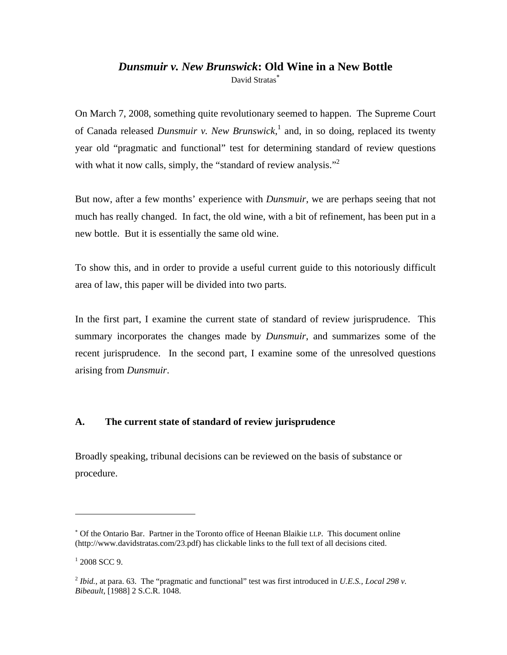# *Dunsmuir v. New Brunswick***: Old Wine in a New Bottle**

David Stratas<sup>\*</sup>

On March 7, 2008, something quite revolutionary seemed to happen. The Supreme Court of Canada released *Dunsmuir v. New Brunswick*, <sup>1</sup> and, in so doing, replaced its twenty year old "pragmatic and functional" test for determining standard of review questions with what it now calls, simply, the "standard of review analysis."<sup>2</sup>

But now, after a few months' experience with *Dunsmuir*, we are perhaps seeing that not much has really changed. In fact, the old wine, with a bit of refinement, has been put in a new bottle. But it is essentially the same old wine.

To show this, and in order to provide a useful current guide to this notoriously difficult area of law, this paper will be divided into two parts.

In the first part, I examine the current state of standard of review jurisprudence. This summary incorporates the changes made by *Dunsmuir*, and summarizes some of the recent jurisprudence. In the second part, I examine some of the unresolved questions arising from *Dunsmuir*.

# **A. The current state of standard of review jurisprudence**

Broadly speaking, tribunal decisions can be reviewed on the basis of substance or procedure.

<sup>∗</sup> Of the Ontario Bar. Partner in the Toronto office of Heenan Blaikie LLP. This document online (http://www.davidstratas.com/23.pdf) has clickable links to the full text of all decisions cited.

 $1$  [2008 SCC 9.](http://scc.lexum.umontreal.ca/en/2008/2008scc9/2008scc9.html)

<sup>&</sup>lt;sup>2</sup> *[Ibid.](http://scc.lexum.umontreal.ca/en/2008/2008scc9/2008scc9.html)*, at para. 63. The "pragmatic and functional" test was first introduced in *U.E.S., Local 298 v. [Bibeault](http://www.canlii.org/en/ca/scc/doc/1988/1988canlii30/1988canlii30.html)*, [1988] 2 S.C.R. 1048.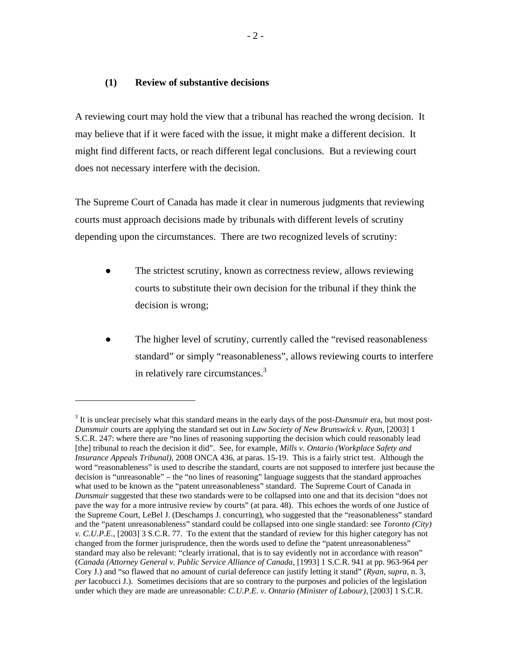### **(1) Review of substantive decisions**

 $\overline{a}$ 

A reviewing court may hold the view that a tribunal has reached the wrong decision. It may believe that if it were faced with the issue, it might make a different decision. It might find different facts, or reach different legal conclusions. But a reviewing court does not necessary interfere with the decision.

The Supreme Court of Canada has made it clear in numerous judgments that reviewing courts must approach decisions made by tribunals with different levels of scrutiny depending upon the circumstances. There are two recognized levels of scrutiny:

- The strictest scrutiny, known as correctness review, allows reviewing courts to substitute their own decision for the tribunal if they think the decision is wrong;
- <span id="page-1-0"></span>The higher level of scrutiny, currently called the "revised reasonableness" standard" or simply "reasonableness", allows reviewing courts to interfere in relatively rare circumstances.<sup>3</sup>

<sup>&</sup>lt;sup>3</sup> It is unclear precisely what this standard means in the early days of the post-*Dunsmuir* era, but most post-*Dunsmuir* courts are applying the standard set out in *[Law Society of New Brunswick v. Ryan](http://scc.lexum.umontreal.ca/en/2003/2003scc20/2003scc20.html)*, [2003] 1 S.C.R. 247: where there are "no lines of reasoning supporting the decision which could reasonably lead [the] tribunal to reach the decision it did". See, for example, *Mills v. [Ontario \(Workplace Safety and](http://www.canlii.org/en/on/onca/doc/2008/2008onca436/2008onca436.html)  [Insurance Appeals Tribunal\)](http://www.canlii.org/en/on/onca/doc/2008/2008onca436/2008onca436.html)*, 2008 ONCA 436, at paras. 15-19. This is a fairly strict test. Although the word "reasonableness" is used to describe the standard, courts are not supposed to interfere just because the decision is "unreasonable" – the "no lines of reasoning" language suggests that the standard approaches what used to be known as the "patent unreasonableness" standard. The Supreme Court of Canada in *[Dunsmuir](http://scc.lexum.umontreal.ca/en/2008/2008scc9/2008scc9.html)* suggested that these two standards were to be collapsed into one and that its decision "does not pave the way for a more intrusive review by courts" (at para. 48). This echoes the words of one Justice of the Supreme Court, LeBel J. (Deschamps J. concurring), who suggested that the "reasonableness" standard and the "patent unreasonableness" standard could be collapsed into one single standard: see *[Toronto \(City\)](http://scc.lexum.umontreal.ca/en/2003/2003scc63/2003scc63.html)  [v. C.U.P.E.](http://scc.lexum.umontreal.ca/en/2003/2003scc63/2003scc63.html)*, [2003] 3 S.C.R. 77. To the extent that the standard of review for this higher category has not changed from the former jurisprudence, then the words used to define the "patent unreasonableness" standard may also be relevant: "clearly irrational, that is to say evidently not in accordance with reason" (*[Canada \(Attorney General v. Public Service Alliance of Canada](http://scc.lexum.umontreal.ca/en/1993/1993rcs1-941/1993rcs1-941.html)*, [1993] 1 S.C.R. 941 at pp. 963-964 *per*  Cory J.) and "so flawed that no amount of curial deference can justify letting it stand" (*[Ryan](http://scc.lexum.umontreal.ca/en/2003/2003scc20/2003scc20.html)*, *supra*, [n. 3](#page-1-0), *per* Iacobucci J.). Sometimes decisions that are so contrary to the purposes and policies of the legislation under which they are made are unreasonable: *[C.U.P.E. v. Ontario \(Minister of Labour\)](http://scc.lexum.umontreal.ca/en/2003/2003scc29/2003scc29.html)*, [2003] 1 S.C.R.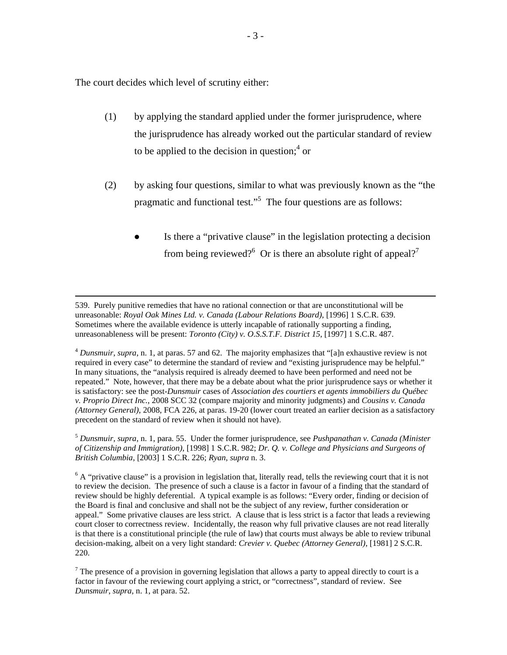The court decides which level of scrutiny either:

- (1) by applying the standard applied under the former jurisprudence, where the jurisprudence has already worked out the particular standard of review to be applied to the decision in question; $<sup>4</sup>$  or</sup>
- (2) by asking four questions, similar to what was previously known as the "the pragmatic and functional test."<sup>5</sup> The four questions are as follows:
	- Is there a "privative clause" in the legislation protecting a decision from being reviewed?<sup>6</sup> Or is there an absolute right of appeal?<sup>7</sup>

 539. Purely punitive remedies that have no rational connection or that are unconstitutional will be unreasonable: *[Royal Oak Mines Ltd. v. Canada \(Labour Relations Board\)](http://scc.lexum.umontreal.ca/en/1996/1996rcs1-369/1996rcs1-369.html)*, [1996] 1 S.C.R. 639. Sometimes where the available evidence is utterly incapable of rationally supporting a finding, unreasonableness will be present: *[Toronto \(City\) v. O.S.S.T.F. District](http://scc.lexum.umontreal.ca/en/1997/1997rcs1-487/1997rcs1-487.html) 15*, [1997] 1 S.C.R. 487.

<sup>4</sup> *[Dunsmuir](http://scc.lexum.umontreal.ca/en/2008/2008scc9/2008scc9.html)*, *supra*, n. 1, at paras. 57 and 62. The majority emphasizes that "[a]n exhaustive review is not required in every case" to determine the standard of review and "existing jurisprudence may be helpful." In many situations, the "analysis required is already deemed to have been performed and need not be repeated." Note, however, that there may be a debate about what the prior jurisprudence says or whether it is satisfactory: see the post-*Dunsmuir* cases of *Association des courtiers et agents immobiliers du Québec v. Proprio Direct Inc.*, 2008 SCC 32 (compare majority and minority judgments) and *Cousins v. Canada (Attorney General)*, 2008, FCA 226, at paras. 19-20 (lower court treated an earlier decision as a satisfactory precedent on the standard of review when it should not have).

<sup>5</sup> *Dunsmuir, supra*, n. 1, para. 55. Under the former jurisprudence, see *[Pushpanathan v. Canada \(Minister](http://scc.lexum.umontreal.ca/en/1998/1998rcs1-1222/1998rcs1-1222.html)  [of Citizenship and Immigration\)](http://scc.lexum.umontreal.ca/en/1998/1998rcs1-1222/1998rcs1-1222.html)*, [1998] 1 S.C.R. 982; *[Dr. Q. v. College and Physicians and Surgeons of](http://scc.lexum.umontreal.ca/en/2003/2003scc19/2003scc19.html) [British Columbia](http://scc.lexum.umontreal.ca/en/2003/2003scc19/2003scc19.html)*, [2003] 1 S.C.R. 226; *[Ryan](http://scc.lexum.umontreal.ca/en/2003/2003scc20/2003scc20.html)*, *supra* n[. 3](#page-1-0).

 $6$  A "privative clause" is a provision in legislation that, literally read, tells the reviewing court that it is not to review the decision. The presence of such a clause is a factor in favour of a finding that the standard of review should be highly deferential. A typical example is as follows: "Every order, finding or decision of the Board is final and conclusive and shall not be the subject of any review, further consideration or appeal." Some privative clauses are less strict. A clause that is less strict is a factor that leads a reviewing court closer to correctness review. Incidentally, the reason why full privative clauses are not read literally is that there is a constitutional principle (the rule of law) that courts must always be able to review tribunal decision-making, albeit on a very light standard: *[Crevier v. Quebec \(Attorney General\)](http://scc.lexum.umontreal.ca/en/1981/1981rcs2-220/1981rcs2-220.html)*, [1981] 2 S.C.R. 220.

 $<sup>7</sup>$  The presence of a provision in governing legislation that allows a party to appeal directly to court is a</sup> factor in favour of the reviewing court applying a strict, or "correctness", standard of review. See *[Dunsmuir](http://scc.lexum.umontreal.ca/en/2008/2008scc9/2008scc9.html)*, *supra*, n. 1, at para. 52.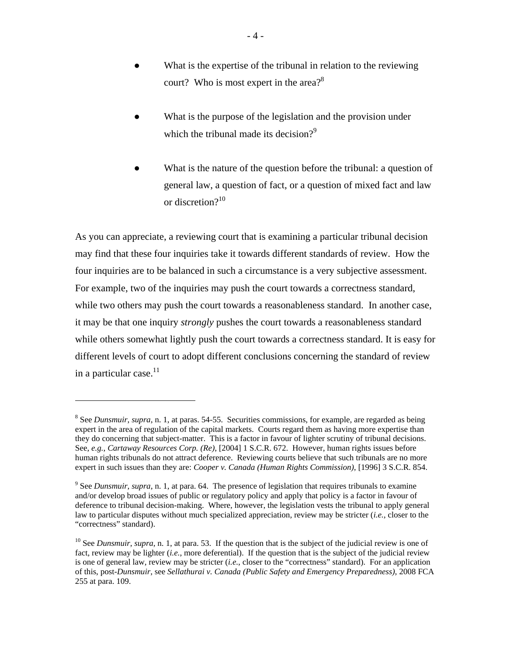- What is the expertise of the tribunal in relation to the reviewing court? Who is most expert in the area?<sup>8</sup>
- What is the purpose of the legislation and the provision under which the tribunal made its decision?<sup>9</sup>
- What is the nature of the question before the tribunal: a question of general law, a question of fact, or a question of mixed fact and law or discretion $?^{10}$

As you can appreciate, a reviewing court that is examining a particular tribunal decision may find that these four inquiries take it towards different standards of review. How the four inquiries are to be balanced in such a circumstance is a very subjective assessment. For example, two of the inquiries may push the court towards a correctness standard, while two others may push the court towards a reasonableness standard. In another case, it may be that one inquiry *strongly* pushes the court towards a reasonableness standard while others somewhat lightly push the court towards a correctness standard. It is easy for different levels of court to adopt different conclusions concerning the standard of review in a particular case. $11$ 

<sup>8</sup> See *[Dunsmuir](http://scc.lexum.umontreal.ca/en/2008/2008scc9/2008scc9.html)*, *supra*, n. 1, at paras. 54-55. Securities commissions, for example, are regarded as being expert in the area of regulation of the capital markets. Courts regard them as having more expertise than they do concerning that subject-matter. This is a factor in favour of lighter scrutiny of tribunal decisions. See, *e.g.*, *[Cartaway Resources Corp. \(Re\)](http://scc.lexum.umontreal.ca/en/2004/2004scc26/2004scc26.html)*, [2004] 1 S.C.R. 672. However, human rights issues before human rights tribunals do not attract deference. Reviewing courts believe that such tribunals are no more expert in such issues than they are: *[Cooper v. Canada \(Human Rights Commission\)](http://scc.lexum.umontreal.ca/en/1996/1996rcs3-854/1996rcs3-854.html)*, [1996] 3 S.C.R. 854.

<sup>9</sup> See *[Dunsmuir](http://scc.lexum.umontreal.ca/en/2008/2008scc9/2008scc9.html)*, *supra*, n. 1, at para. 64. The presence of legislation that requires tribunals to examine and/or develop broad issues of public or regulatory policy and apply that policy is a factor in favour of deference to tribunal decision-making. Where, however, the legislation vests the tribunal to apply general law to particular disputes without much specialized appreciation, review may be stricter (*i.e.*, closer to the "correctness" standard).

<sup>&</sup>lt;sup>10</sup> See *[Dunsmuir](http://scc.lexum.umontreal.ca/en/2008/2008scc9/2008scc9.html)*, *supra*, n. 1, at para. 53. If the question that is the subject of the judicial review is one of fact, review may be lighter (*i.e.*, more deferential). If the question that is the subject of the judicial review is one of general law, review may be stricter (*i.e.*, closer to the "correctness" standard). For an application of this, post-*Dunsmuir*, see *[Sellathurai v. Canada \(Public Safety and Emergency Preparedness\)](http://www.canlii.org/en/ca/fca/doc/2008/2008fca255/2008fca255.html)*, 2008 FCA 255 at para. 109.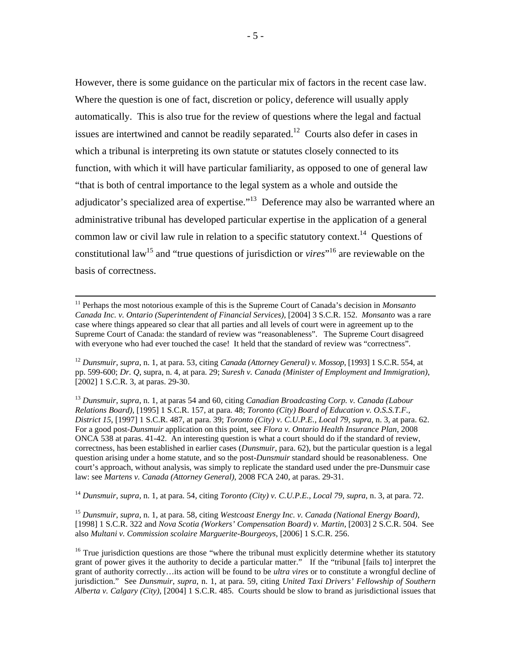However, there is some guidance on the particular mix of factors in the recent case law. Where the question is one of fact, discretion or policy, deference will usually apply automatically. This is also true for the review of questions where the legal and factual issues are intertwined and cannot be readily separated.<sup>12</sup> Courts also defer in cases in which a tribunal is interpreting its own statute or statutes closely connected to its function, with which it will have particular familiarity, as opposed to one of general law "that is both of central importance to the legal system as a whole and outside the adjudicator's specialized area of expertise."<sup>13</sup> Deference may also be warranted where an administrative tribunal has developed particular expertise in the application of a general common law or civil law rule in relation to a specific statutory context.<sup>14</sup> Questions of constitutional law<sup>15</sup> and "true questions of jurisdiction or *vires*"<sup>16</sup> are reviewable on the basis of correctness.

<sup>14</sup> *[Dunsmuir](http://scc.lexum.umontreal.ca/en/2008/2008scc9/2008scc9.html)*, *supra*, n. 1, at para. 54, citing *Toronto (City) v. [C.U.P.E., Local 79](http://scc.lexum.umontreal.ca/en/2003/2003scc63/2003scc63.html)*, *supra*, n. 3, at para. 72.

<sup>15</sup> *[Dunsmuir](http://scc.lexum.umontreal.ca/en/2008/2008scc9/2008scc9.html)*, *supra*, n. 1, at para. 58, citing *[Westcoast Energy Inc. v. Canada \(National Energy Board\)](http://scc.lexum.umontreal.ca/en/1998/1998rcs1-322/1998rcs1-322.html)*, [1998] 1 S.C.R. 322 and *[Nova Scotia \(Workers' Compensation Board\) v. Martin](http://scc.lexum.umontreal.ca/en/2003/2003scc54/2003scc54.html)*, [2003] 2 S.C.R. 504. See also *[Multani v. Commission scolaire Marguerite-Bourgeoys](http://scc.lexum.umontreal.ca/en/2006/2006scc6/2006scc6.html)*, [2006] 1 S.C.R. 256.

 <sup>11</sup> Perhaps the most notorious example of this is the Supreme Court of Canada's decision in *[Monsanto](http://scc.lexum.umontreal.ca/en/2004/2004scc54/2004scc54.html)  Canada Inc. v. [Ontario \(Superintendent of Financial Services\)](http://scc.lexum.umontreal.ca/en/2004/2004scc54/2004scc54.html)*, [2004] 3 S.C.R. 152. *Monsanto* was a rare case where things appeared so clear that all parties and all levels of court were in agreement up to the Supreme Court of Canada: the standard of review was "reasonableness". The Supreme Court disagreed with everyone who had ever touched the case! It held that the standard of review was "correctness".

<sup>12</sup> *[Dunsmuir](http://scc.lexum.umontreal.ca/en/2008/2008scc9/2008scc9.html)*, *supra*, n. 1, at para. 53, citing *[Canada \(Attorney General\) v.](http://scc.lexum.umontreal.ca/en/1993/1993rcs1-554/1993rcs1-554.html) Mossop*, [1993] 1 S.C.R. 554, at pp. 599-600; *[Dr. Q](http://scc.lexum.umontreal.ca/en/2003/2003scc19/2003scc19.html)*, supra, n. 4, at para. 29; *[Suresh v. Canada \(Minister of Employment and Immigration\)](http://scc.lexum.umontreal.ca/en/2002/2002scc1/2002scc1.html)*, [2002] 1 S.C.R. 3, at paras. 29-30.

<sup>13</sup> *[Dunsmuir](http://scc.lexum.umontreal.ca/en/2008/2008scc9/2008scc9.html)*, *supra*, n. 1, at paras 54 and 60, citing *[Canadian Broadcasting Corp. v. Canada \(Labour](http://scc.lexum.umontreal.ca/en/1995/1995rcs1-157/1995rcs1-157.html)  [Relations Board\)](http://scc.lexum.umontreal.ca/en/1995/1995rcs1-157/1995rcs1-157.html)*, [1995] 1 S.C.R. 157, at para. 48; *[Toronto \(City\) Board of Education](http://scc.lexum.umontreal.ca/en/1997/1997rcs1-487/1997rcs1-487.html) v. O.S.S.T.F., [District 15](http://scc.lexum.umontreal.ca/en/1997/1997rcs1-487/1997rcs1-487.html)*, [1997] 1 S.C.R. 487, at para. 39; *Toronto (City) v. [C.U.P.E., Local 79](http://scc.lexum.umontreal.ca/en/2003/2003scc63/2003scc63.html)*, *supra*, n. 3, at para. 62. For a good post-*Dunsmuir* application on this point, see *Flora v. [Ontario Health Insurance Plan](http://www.canlii.org/en/on/onca/doc/2008/2008onca538/2008onca538.html)*, 2008 ONCA 538 at paras. 41-42. An interesting question is what a court should do if the standard of review, correctness, has been established in earlier cases (*Dunsmuir*, para. 62), but the particular question is a legal question arising under a home statute, and so the post-*Dunsmuir* standard should be reasonableness. One court's approach, without analysis, was simply to replicate the standard used under the pre-Dunsmuir case law: see *[Martens v. Canada \(Attorney General\)](http://www.canlii.org/en/ca/fca/doc/2008/2008fca240/2008fca240.html)*, 2008 FCA 240, at paras. 29-31.

<sup>&</sup>lt;sup>16</sup> True jurisdiction questions are those "where the tribunal must explicitly determine whether its statutory grant of power gives it the authority to decide a particular matter." If the "tribunal [fails to] interpret the grant of authority correctly…its action will be found to be *ultra vires* or to constitute a wrongful decline of jurisdiction." See *[Dunsmuir](http://scc.lexum.umontreal.ca/en/2008/2008scc9/2008scc9.html)*, *supra*, n. 1, at para. 59, citing *[United Taxi Drivers' Fellowship of Southern](http://scc.lexum.umontreal.ca/en/2004/2004scc19/2004scc19.html)  [Alberta v. Calgary \(City\)](http://scc.lexum.umontreal.ca/en/2004/2004scc19/2004scc19.html)*, [2004] 1 S.C.R. 485. Courts should be slow to brand as jurisdictional issues that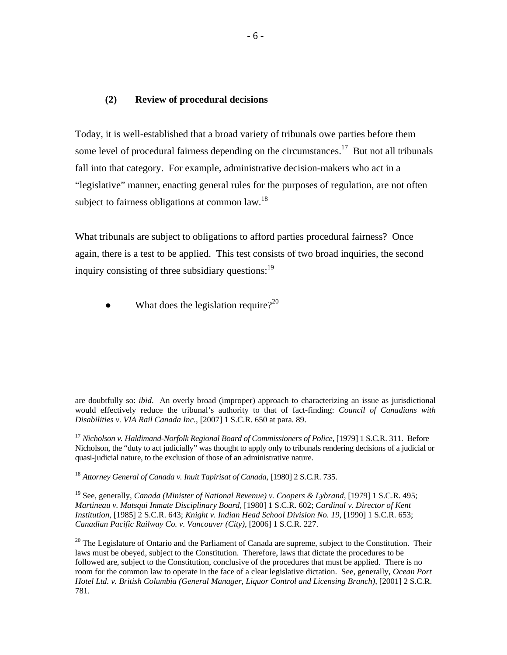#### **(2) Review of procedural decisions**

Today, it is well-established that a broad variety of tribunals owe parties before them some level of procedural fairness depending on the circumstances.<sup>17</sup> But not all tribunals fall into that category. For example, administrative decision-makers who act in a "legislative" manner, enacting general rules for the purposes of regulation, are not often subject to fairness obligations at common law.<sup>18</sup>

What tribunals are subject to obligations to afford parties procedural fairness? Once again, there is a test to be applied. This test consists of two broad inquiries, the second inquiry consisting of three subsidiary questions:<sup>19</sup>

• What does the legislation require?<sup>20</sup>

 are doubtfully so: *ibid*. An overly broad (improper) approach to characterizing an issue as jurisdictional would effectively reduce the tribunal's authority to that of fact-finding: *[Council of Canadians with](http://www.canlii.org/en/ca/scc/doc/2007/2007scc15/2007scc15.html)  [Disabilities v. VIA Rail Canada Inc.](http://www.canlii.org/en/ca/scc/doc/2007/2007scc15/2007scc15.html)*, [2007] 1 S.C.R. 650 at para. 89.

<sup>17</sup> *[Nicholson v. Haldimand-Norfolk Regional Board of Commissioners of Police](http://scc.lexum.umontreal.ca/en/1978/1979rcs1-311/1979rcs1-311.html)*, [1979] 1 S.C.R. 311. Before Nicholson, the "duty to act judicially" was thought to apply only to tribunals rendering decisions of a judicial or quasi-judicial nature, to the exclusion of those of an administrative nature.

<sup>18</sup> *[Attorney General of Canada v. Inuit Tapirisat of Canada](http://scc.lexum.umontreal.ca/en/1980/1980rcs2-735/1980rcs2-735.html)*, [1980] 2 S.C.R. 735.

<sup>19</sup> See, generally, *[Canada \(Minister of National Revenue\) v. Coopers & Lybrand](http://scc.lexum.umontreal.ca/en/1978/1979rcs1-495/1979rcs1-495.html)*, [1979] 1 S.C.R. 495; *[Martineau v. Matsqui Inmate Disciplinary Board](http://scc.lexum.umontreal.ca/en/1979/1980rcs1-602/1980rcs1-602.html)*, [1980] 1 S.C.R. 602; *[Cardinal v. Director of Kent](http://scc.lexum.umontreal.ca/en/1985/1985rcs2-643/1985rcs2-643.html)  [Institution](http://scc.lexum.umontreal.ca/en/1985/1985rcs2-643/1985rcs2-643.html)*, [1985] 2 S.C.R. 643; *[Knight v. Indian Head School Division No. 19](http://scc.lexum.umontreal.ca/en/1990/1990rcs1-653/1990rcs1-653.html)*, [1990] 1 S.C.R. 653; *[Canadian Pacific Railway Co. v. Vancouver \(City\)](http://scc.lexum.umontreal.ca/en/2006/2006scc5/2006scc5.html)*, [2006] 1 S.C.R. 227.

 $20$  The Legislature of Ontario and the Parliament of Canada are supreme, subject to the Constitution. Their laws must be obeyed, subject to the Constitution. Therefore, laws that dictate the procedures to be followed are, subject to the Constitution, conclusive of the procedures that must be applied. There is no room for the common law to operate in the face of a clear legislative dictation. See, generally, *[Ocean Port](http://scc.lexum.umontreal.ca/en/2001/2001scc52/2001scc52.html)  Hotel Ltd. v. [British Columbia \(General Manager, Liquor Control and Licensing Branch\)](http://scc.lexum.umontreal.ca/en/2001/2001scc52/2001scc52.html)*, [2001] 2 S.C.R. 781.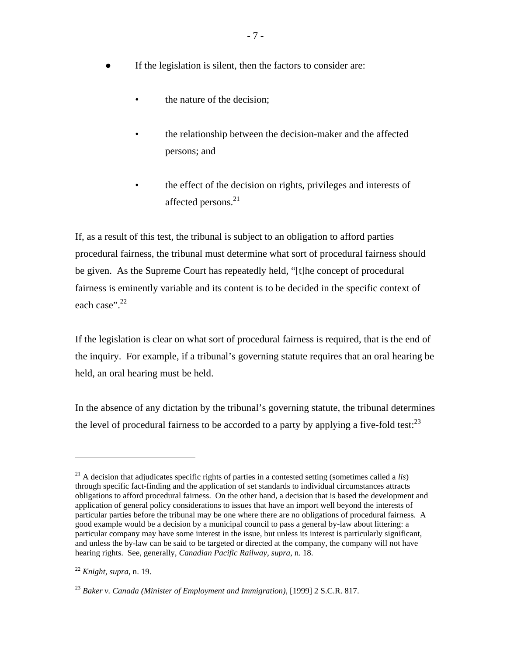- If the legislation is silent, then the factors to consider are:
	- the nature of the decision;
	- the relationship between the decision-maker and the affected persons; and
	- the effect of the decision on rights, privileges and interests of affected persons.<sup>21</sup>

If, as a result of this test, the tribunal is subject to an obligation to afford parties procedural fairness, the tribunal must determine what sort of procedural fairness should be given. As the Supreme Court has repeatedly held, "[t]he concept of procedural fairness is eminently variable and its content is to be decided in the specific context of each case".<sup>22</sup>

If the legislation is clear on what sort of procedural fairness is required, that is the end of the inquiry. For example, if a tribunal's governing statute requires that an oral hearing be held, an oral hearing must be held.

In the absence of any dictation by the tribunal's governing statute, the tribunal determines the level of procedural fairness to be accorded to a party by applying a five-fold test:  $^{23}$ 

<sup>21</sup> A decision that adjudicates specific rights of parties in a contested setting (sometimes called a *lis*) through specific fact-finding and the application of set standards to individual circumstances attracts obligations to afford procedural fairness. On the other hand, a decision that is based the development and application of general policy considerations to issues that have an import well beyond the interests of particular parties before the tribunal may be one where there are no obligations of procedural fairness. A good example would be a decision by a municipal council to pass a general by-law about littering: a particular company may have some interest in the issue, but unless its interest is particularly significant, and unless the by-law can be said to be targeted or directed at the company, the company will not have hearing rights. See, generally, *[Canadian Pacific Railway](http://scc.lexum.umontreal.ca/en/2006/2006scc5/2006scc5.html)*, *supra*, n. 18.

<sup>22</sup> *[Knight](http://scc.lexum.umontreal.ca/en/1990/1990rcs1-653/1990rcs1-653.html)*, *supra,* n. 19.

<sup>23</sup> *[Baker v. Canada \(Minister of Employment and Immigration\)](http://scc.lexum.umontreal.ca/en/1999/1999rcs2-817/1999rcs2-817.html)*, [1999] 2 S.C.R. 817.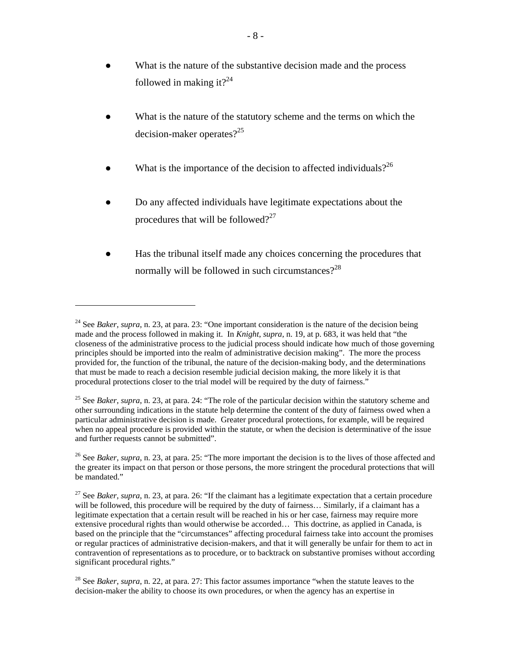- What is the nature of the substantive decision made and the process followed in making it?<sup>24</sup>
- What is the nature of the statutory scheme and the terms on which the decision-maker operates?<sup>25</sup>
- What is the importance of the decision to affected individuals?<sup>26</sup>
- Do any affected individuals have legitimate expectations about the procedures that will be followed? $27$
- Has the tribunal itself made any choices concerning the procedures that normally will be followed in such circumstances? $2^{28}$

<sup>&</sup>lt;sup>24</sup> See *[Baker](http://scc.lexum.umontreal.ca/en/1999/1999rcs2-817/1999rcs2-817.html)*, *supra*, n. 23, at para. 23: "One important consideration is the nature of the decision being made and the process followed in making it. In *[Knight](http://scc.lexum.umontreal.ca/en/1990/1990rcs1-653/1990rcs1-653.html)*, *supra*, n. 19, at p. 683, it was held that "the closeness of the administrative process to the judicial process should indicate how much of those governing principles should be imported into the realm of administrative decision making". The more the process provided for, the function of the tribunal, the nature of the decision-making body, and the determinations that must be made to reach a decision resemble judicial decision making, the more likely it is that procedural protections closer to the trial model will be required by the duty of fairness."

<sup>25</sup> See *[Baker](http://scc.lexum.umontreal.ca/en/1999/1999rcs2-817/1999rcs2-817.html)*, *supra*, n. 23, at para. 24: "The role of the particular decision within the statutory scheme and other surrounding indications in the statute help determine the content of the duty of fairness owed when a particular administrative decision is made. Greater procedural protections, for example, will be required when no appeal procedure is provided within the statute, or when the decision is determinative of the issue and further requests cannot be submitted".

<sup>&</sup>lt;sup>26</sup> See *[Baker](http://scc.lexum.umontreal.ca/en/1999/1999rcs2-817/1999rcs2-817.html)*, *supra*, n. 23, at para. 25: "The more important the decision is to the lives of those affected and the greater its impact on that person or those persons, the more stringent the procedural protections that will be mandated."

<sup>27</sup> See *[Baker](http://scc.lexum.umontreal.ca/en/1999/1999rcs2-817/1999rcs2-817.html)*, *supra*, n. 23, at para. 26: "If the claimant has a legitimate expectation that a certain procedure will be followed, this procedure will be required by the duty of fairness... Similarly, if a claimant has a legitimate expectation that a certain result will be reached in his or her case, fairness may require more extensive procedural rights than would otherwise be accorded… This doctrine, as applied in Canada, is based on the principle that the "circumstances" affecting procedural fairness take into account the promises or regular practices of administrative decision-makers, and that it will generally be unfair for them to act in contravention of representations as to procedure, or to backtrack on substantive promises without according significant procedural rights."

<sup>28</sup> See *[Baker](http://scc.lexum.umontreal.ca/en/1999/1999rcs2-817/1999rcs2-817.html)*, *supra*, n. 22, at para. 27: This factor assumes importance "when the statute leaves to the decision-maker the ability to choose its own procedures, or when the agency has an expertise in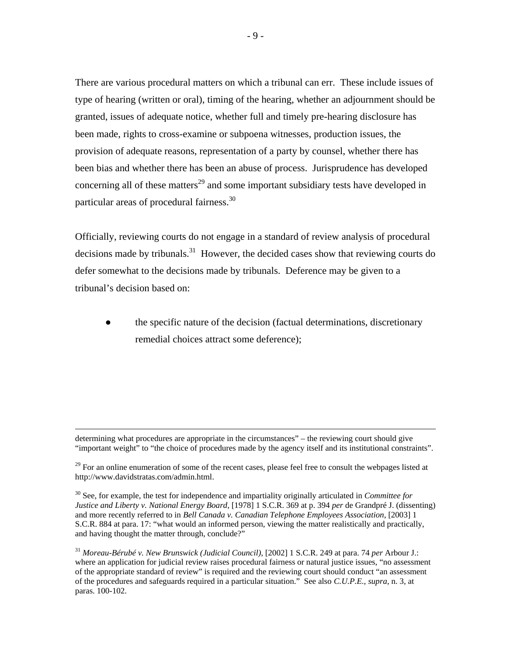There are various procedural matters on which a tribunal can err. These include issues of type of hearing (written or oral), timing of the hearing, whether an adjournment should be granted, issues of adequate notice, whether full and timely pre-hearing disclosure has been made, rights to cross-examine or subpoena witnesses, production issues, the provision of adequate reasons, representation of a party by counsel, whether there has been bias and whether there has been an abuse of process. Jurisprudence has developed concerning all of these matters<sup>29</sup> and some important subsidiary tests have developed in particular areas of procedural fairness.<sup>30</sup>

Officially, reviewing courts do not engage in a standard of review analysis of procedural decisions made by tribunals.<sup>31</sup> However, the decided cases show that reviewing courts do defer somewhat to the decisions made by tribunals. Deference may be given to a tribunal's decision based on:

the specific nature of the decision (factual determinations, discretionary remedial choices attract some deference);

determining what procedures are appropriate in the circumstances" – the reviewing court should give "important weight" to "the choice of procedures made by the agency itself and its institutional constraints".

 $29$  For an online enumeration of some of the recent cases, please feel free to consult the webpages listed at <http://www.davidstratas.com/admin.html>.

<sup>30</sup> See, for example, the test for independence and impartiality originally articulated in *[Committee for](http://scc.lexum.umontreal.ca/en/1976/1978rcs1-369/1978rcs1-369.html)  Justice and Liberty v. [National Energy Board](http://scc.lexum.umontreal.ca/en/1976/1978rcs1-369/1978rcs1-369.html)*, [1978] 1 S.C.R. 369 at p. 394 *per* de Grandpré J. (dissenting) and more recently referred to in *Bell Canada v. [Canadian Telephone Employees Association](http://scc.lexum.umontreal.ca/en/2003/2003scc36/2003scc36.html)*, [2003] 1 S.C.R. 884 at para. 17: "what would an informed person, viewing the matter realistically and practically, and having thought the matter through, conclude?"

<sup>31</sup> *[Moreau-Bérubé v. New Brunswick \(Judicial Council\)](http://scc.lexum.umontreal.ca/en/2002/2002scc11/2002scc11.html)*, [2002] 1 S.C.R. 249 at para. 74 *per* Arbour J.: where an application for judicial review raises procedural fairness or natural justice issues, "no assessment of the appropriate standard of review" is required and the reviewing court should conduct "an assessment of the procedures and safeguards required in a particular situation." See also *[C.U.P.E.](http://scc.lexum.umontreal.ca/en/2003/2003scc29/2003scc29.html)*, *supra*, n. 3, at paras. 100-102.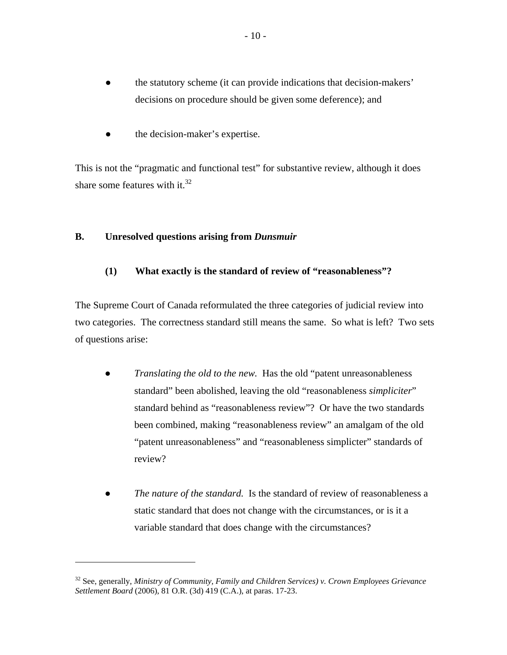- the statutory scheme (it can provide indications that decision-makers' decisions on procedure should be given some deference); and
- the decision-maker's expertise.

This is not the "pragmatic and functional test" for substantive review, although it does share some features with it. $32$ 

# **B. Unresolved questions arising from** *Dunsmuir*

 $\overline{a}$ 

# **(1) What exactly is the standard of review of "reasonableness"?**

The Supreme Court of Canada reformulated the three categories of judicial review into two categories. The correctness standard still means the same. So what is left? Two sets of questions arise:

- *Translating the old to the new.* Has the old "patent unreasonableness standard" been abolished, leaving the old "reasonableness *simpliciter*" standard behind as "reasonableness review"? Or have the two standards been combined, making "reasonableness review" an amalgam of the old "patent unreasonableness" and "reasonableness simplicter" standards of review?
- The nature of the standard. Is the standard of review of reasonableness a static standard that does not change with the circumstances, or is it a variable standard that does change with the circumstances?

<sup>32</sup> See, generally, *[Ministry of Community, Family and Children Services\) v. Crown Employees Grievance](http://www.canlii.org/en/on/onca/doc/2006/2006canlii21173/2006canlii21173.html)  [Settlement Board](http://www.canlii.org/en/on/onca/doc/2006/2006canlii21173/2006canlii21173.html)* (2006), 81 O.R. (3d) 419 (C.A.), at paras. 17-23.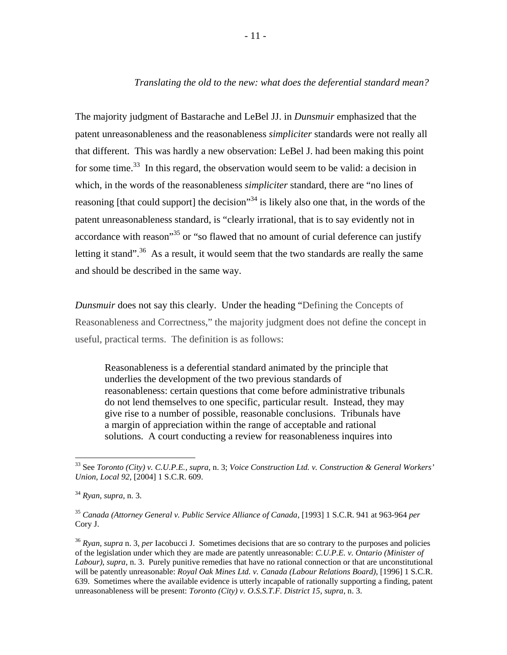### *Translating the old to the new: what does the deferential standard mean?*

The majority judgment of Bastarache and LeBel JJ. in *Dunsmuir* emphasized that the patent unreasonableness and the reasonableness *simpliciter* standards were not really all that different. This was hardly a new observation: LeBel J. had been making this point for some time.<sup>33</sup> In this regard, the observation would seem to be valid: a decision in which, in the words of the reasonableness *simpliciter* standard, there are "no lines of reasoning [that could support] the decision<sup>34</sup> is likely also one that, in the words of the patent unreasonableness standard, is "clearly irrational, that is to say evidently not in accordance with reason<sup>35</sup> or "so flawed that no amount of curial deference can justify letting it stand".<sup>36</sup> As a result, it would seem that the two standards are really the same and should be described in the same way.

*Dunsmuir* does not say this clearly. Under the heading "Defining the Concepts of Reasonableness and Correctness," the majority judgment does not define the concept in useful, practical terms. The definition is as follows:

Reasonableness is a deferential standard animated by the principle that underlies the development of the two previous standards of reasonableness: certain questions that come before administrative tribunals do not lend themselves to one specific, particular result. Instead, they may give rise to a number of possible, reasonable conclusions. Tribunals have a margin of appreciation within the range of acceptable and rational solutions. A court conducting a review for reasonableness inquires into

 <sup>33</sup> See *[Toronto \(City\) v. C.U.P.E.,](http://www.canlii.org/en/ca/scc/doc/2003/2003scc63/2003scc63.html) supra*, n. 3; *[Voice Construction Ltd. v.](http://www.canlii.org/en/ca/scc/doc/2004/2004scc23/2004scc23.html) Construction & General Workers' [Union, Local 92](http://www.canlii.org/en/ca/scc/doc/2004/2004scc23/2004scc23.html)*, [2004] 1 S.C.R. 609.

<sup>34</sup> *[Ryan](http://www.canlii.org/en/ca/scc/doc/2003/2003scc20/2003scc20.html)*, *supra*, n. 3.

<sup>35</sup> *[Canada \(Attorney General v. Public Service Alliance of Canada](http://www.canlii.org/en/ca/scc/doc/1993/1993canlii125/1993canlii125.html)*, [1993] 1 S.C.R. 941 at 963-964 *per*  Cory J.

<sup>36</sup> *[Ryan](http://www.canlii.org/en/ca/scc/doc/2003/2003scc20/2003scc20.html)*, *supra* n. 3, *per* Iacobucci J. Sometimes decisions that are so contrary to the purposes and policies of the legislation under which they are made are patently unreasonable: *[C.U.P.E. v. Ontario \(Minister of](http://www.canlii.org/en/ca/scc/doc/2003/2003scc29/2003scc29.html)  [Labour\)](http://www.canlii.org/en/ca/scc/doc/2003/2003scc29/2003scc29.html)*, *supra*, n. 3. Purely punitive remedies that have no rational connection or that are unconstitutional will be patently unreasonable: *[Royal Oak Mines Ltd. v. Canada \(Labour Relations Board\)](http://www.canlii.org/en/ca/scc/doc/1996/1996canlii220/1996canlii220.html)*, [1996] 1 S.C.R. 639. Sometimes where the available evidence is utterly incapable of rationally supporting a finding, patent unreasonableness will be present: *Toronto (City) v. O.S.S.T.F. District 15*, *supra*, n. 3.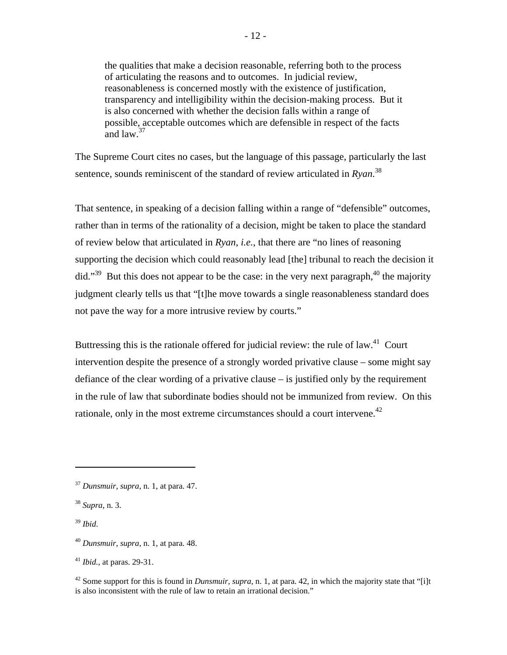the qualities that make a decision reasonable, referring both to the process of articulating the reasons and to outcomes. In judicial review, reasonableness is concerned mostly with the existence of justification, transparency and intelligibility within the decision-making process. But it is also concerned with whether the decision falls within a range of possible, acceptable outcomes which are defensible in respect of the facts and  $\int$ and  $\int$ <sup>37</sup>

The Supreme Court cites no cases, but the language of this passage, particularly the last sentence, sounds reminiscent of the standard of review articulated in *Ryan*. 38

That sentence, in speaking of a decision falling within a range of "defensible" outcomes, rather than in terms of the rationality of a decision, might be taken to place the standard of review below that articulated in *Ryan*, *i.e.*, that there are "no lines of reasoning supporting the decision which could reasonably lead [the] tribunal to reach the decision it did."<sup>39</sup> But this does not appear to be the case: in the very next paragraph, <sup>40</sup> the majority judgment clearly tells us that "[t]he move towards a single reasonableness standard does not pave the way for a more intrusive review by courts."

Buttressing this is the rationale offered for judicial review: the rule of law.<sup>41</sup> Court intervention despite the presence of a strongly worded privative clause – some might say defiance of the clear wording of a privative clause – is justified only by the requirement in the rule of law that subordinate bodies should not be immunized from review. On this rationale, only in the most extreme circumstances should a court intervene.<sup> $42$ </sup>

 $\overline{a}$ 

<sup>41</sup> *Ibid.*, at paras. 29-31.

<sup>37</sup> *[Dunsmuir](http://scc.lexum.umontreal.ca/en/2008/2008scc9/2008scc9.html)*, *supra*, n. 1, at para. 47.

<sup>38</sup> *Supra*, n. 3.

<sup>39</sup> *Ibid*.

<sup>40</sup> *[Dunsmuir](http://scc.lexum.umontreal.ca/en/2008/2008scc9/2008scc9.html)*, *supra*, n. 1, at para. 48.

<sup>42</sup> Some support for this is found in *[Dunsmuir](http://scc.lexum.umontreal.ca/en/2008/2008scc9/2008scc9.html)*, *supra*, n. 1, at para. 42, in which the majority state that "[i]t is also inconsistent with the rule of law to retain an irrational decision."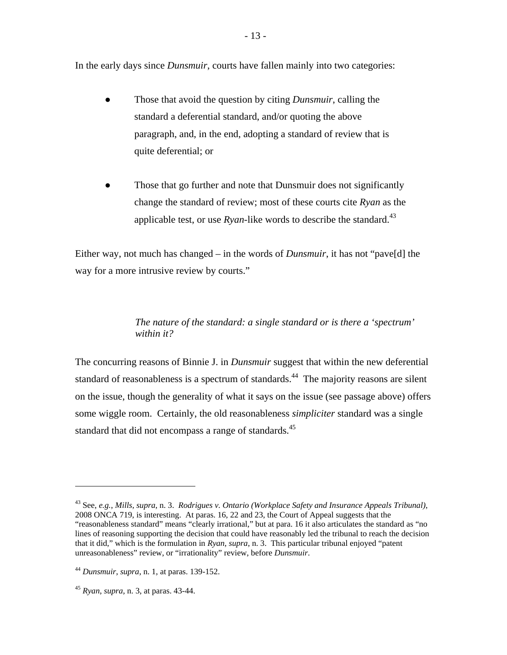In the early days since *Dunsmuir*, courts have fallen mainly into two categories:

- Those that avoid the question by citing *Dunsmuir*, calling the standard a deferential standard, and/or quoting the above paragraph, and, in the end, adopting a standard of review that is quite deferential; or
- Those that go further and note that Dunsmuir does not significantly change the standard of review; most of these courts cite *Ryan* as the applicable test, or use  $R$ *yan*-like words to describe the standard.<sup>43</sup>

Either way, not much has changed – in the words of *Dunsmuir*, it has not "pave[d] the way for a more intrusive review by courts."

# *The nature of the standard: a single standard or is there a 'spectrum' within it?*

The concurring reasons of Binnie J. in *Dunsmuir* suggest that within the new deferential standard of reasonableness is a spectrum of standards.<sup>44</sup> The majority reasons are silent on the issue, though the generality of what it says on the issue (see passage above) offers some wiggle room. Certainly, the old reasonableness *simpliciter* standard was a single standard that did not encompass a range of standards.<sup>45</sup>

<sup>43</sup> See, *e.g.*, *[Mills,](http://www.canlii.org/en/on/onca/doc/2008/2008onca436/2008onca436.html) supra*, n. 3. *[Rodrigues v. Ontario \(Workplace Safety and Insurance Appeals Tribunal\)](http://www.ontariocourts.on.ca/decisions/2008/october/2008ONCA0719.htm)*, 2008 ONCA 719, is interesting. At paras. 16, 22 and 23, the Court of Appeal suggests that the "reasonableness standard" means "clearly irrational," but at para. 16 it also articulates the standard as "no lines of reasoning supporting the decision that could have reasonably led the tribunal to reach the decision that it did," which is the formulation in *[Ryan](http://www.canlii.org/en/ca/scc/doc/2003/2003scc20/2003scc20.html)*, *supra*, n. 3. This particular tribunal enjoyed "patent unreasonableness" review, or "irrationality" review, before *Dunsmuir*.

<sup>44</sup> *[Dunsmuir](http://scc.lexum.umontreal.ca/en/2008/2008scc9/2008scc9.html)*, *supra*, n. 1, at paras. 139-152.

<sup>45</sup> *[Ryan](http://www.canlii.org/en/ca/scc/doc/2003/2003scc20/2003scc20.html)*, *supra*, n. 3, at paras. 43-44.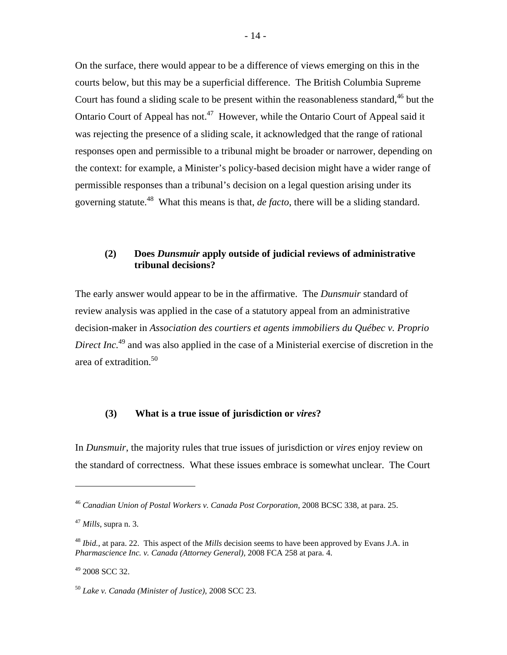On the surface, there would appear to be a difference of views emerging on this in the courts below, but this may be a superficial difference. The British Columbia Supreme Court has found a sliding scale to be present within the reasonableness standard.<sup>46</sup> but the Ontario Court of Appeal has not.47 However, while the Ontario Court of Appeal said it was rejecting the presence of a sliding scale, it acknowledged that the range of rational responses open and permissible to a tribunal might be broader or narrower, depending on the context: for example, a Minister's policy-based decision might have a wider range of permissible responses than a tribunal's decision on a legal question arising under its governing statute.48 What this means is that, *de facto*, there will be a sliding standard.

# **(2) Does** *Dunsmuir* **apply outside of judicial reviews of administrative tribunal decisions?**

The early answer would appear to be in the affirmative. The *Dunsmuir* standard of review analysis was applied in the case of a statutory appeal from an administrative decision-maker in *Association des courtiers et agents immobiliers du Québec v. Proprio Direct Inc.*<sup>49</sup> and was also applied in the case of a Ministerial exercise of discretion in the area of extradition.<sup>50</sup>

# **(3) What is a true issue of jurisdiction or** *vires***?**

In *Dunsmuir*, the majority rules that true issues of jurisdiction or *vires* enjoy review on the standard of correctness. What these issues embrace is somewhat unclear. The Court

<sup>46</sup> *[Canadian Union of Postal Workers v. Canada Post Corporation](http://www.canlii.org/en/bc/bcsc/doc/2008/2008bcsc338/2008bcsc338.html)*, 2008 BCSC 338, at para. 25.

<sup>47</sup> *[Mills](http://www.canlii.org/en/on/onca/doc/2008/2008onca436/2008onca436.html)*, supra n. 3.

<sup>48</sup> *Ibid.*, at para. 22. This aspect of the *Mills* decision seems to have been approved by Evans J.A. in *[Pharmascience Inc. v. Canada \(Attorney General\)](http://www.canlii.org/en/ca/fca/doc/2008/2008fca258/2008fca258.html)*, 2008 FCA 258 at para. 4.

<sup>49</sup> [2008 SCC 32.](http://www.canlii.org/en/ca/scc/doc/2008/2008scc32/2008scc32.html)

<sup>50</sup> *[Lake v. Canada \(Minister of Justice\)](http://www.canlii.org/en/ca/scc/doc/2008/2008scc23/2008scc23.html)*, 2008 SCC 23.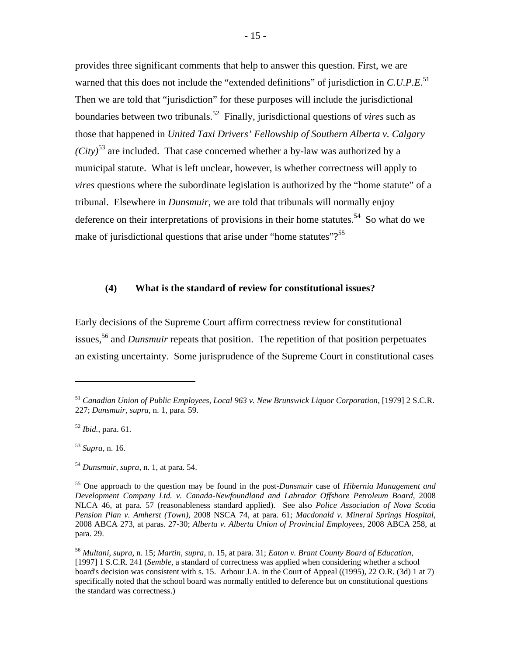provides three significant comments that help to answer this question. First, we are warned that this does not include the "extended definitions" of jurisdiction in *C.U.P.E.*<sup>51</sup> Then we are told that "jurisdiction" for these purposes will include the jurisdictional boundaries between two tribunals.52 Finally, jurisdictional questions of *vires* such as those that happened in *United Taxi Drivers' Fellowship of Southern Alberta v. Calgary (City)*<sup>53</sup> are included. That case concerned whether a by-law was authorized by a municipal statute. What is left unclear, however, is whether correctness will apply to *vires* questions where the subordinate legislation is authorized by the "home statute" of a tribunal. Elsewhere in *Dunsmuir*, we are told that tribunals will normally enjoy deference on their interpretations of provisions in their home statutes.<sup>54</sup> So what do we make of jurisdictional questions that arise under "home statutes"?<sup>55</sup>

#### **(4) What is the standard of review for constitutional issues?**

Early decisions of the Supreme Court affirm correctness review for constitutional issues,<sup>56</sup> and *Dunsmuir* repeats that position. The repetition of that position perpetuates an existing uncertainty. Some jurisprudence of the Supreme Court in constitutional cases

<sup>51</sup> *[Canadian Union of Public Employees, Local 963 v. New Brunswick Liquor Corporation](http://www.canlii.org/en/ca/scc/doc/1979/1979canlii23/1979canlii23.html)*, [1979] 2 S.C.R. 227; *[Dunsmuir](http://scc.lexum.umontreal.ca/en/2008/2008scc9/2008scc9.html)*, *supra*, n. 1, para. 59.

<sup>52</sup> *Ibid.*, para. 61.

<sup>53</sup> *Supra*, n. 16.

<sup>54</sup> *[Dunsmuir](http://scc.lexum.umontreal.ca/en/2008/2008scc9/2008scc9.html)*, *supra*, n. 1, at para. 54.

<sup>55</sup> One approach to the question may be found in the post-*Dunsmuir* case of *[Hibernia Management and](http://www.canlii.org/en/nl/nlca/doc/2008/2008nlca46/2008nlca46.html)  [Development Company Ltd. v. Canada-Newfoundland and Labrador Offshore Petroleum Board](http://www.canlii.org/en/nl/nlca/doc/2008/2008nlca46/2008nlca46.html)*, 2008 NLCA 46, at para. 57 (reasonableness standard applied). See also *[Police Association of Nova Scotia](http://www.canlii.org/en/ns/nsca/doc/2008/2008nsca74/2008nsca74.html)  Pension [Plan v. Amherst \(Town\)](http://www.canlii.org/en/ns/nsca/doc/2008/2008nsca74/2008nsca74.html)*, 2008 NSCA 74, at para. 61; *[Macdonald v. Mineral Springs Hospital](http://www.canlii.org/en/ab/abca/doc/2008/2008abca273/2008abca273.html)*, 2008 ABCA 273, at paras. 27-30; *[Alberta v. Alberta Union of Provincial Employees](http://www.canlii.org/en/ab/abca/doc/2008/2008abca258/2008abca258.html)*, 2008 ABCA 258, at para. 29.

<sup>56</sup> *[Multani](http://www.canlii.org/en/ca/scc/doc/2006/2006scc6/2006scc6.html)*, *supra*, n. 15; *[Martin](http://www.canlii.org/en/ca/scc/doc/2003/2003scc54/2003scc54.html)*, *supra*, n. 15, at para. 31; *[Eaton v. Brant County Board of Education](http://www.canlii.org/en/ca/scc/doc/1997/1997canlii366/1997canlii366.html)*, [1997] 1 S.C.R. 241 (*Semble*, a standard of correctness was applied when considering whether a school board's decision was consistent with s. 15. [Arbour J.A. in the Court of Appeal \(\(1995\), 22 O.R.](http://www.canlii.org/en/on/onca/doc/1995/1995canlii980/1995canlii980.html) (3d) 1 at 7) specifically noted that the school board was normally entitled to deference but on constitutional questions the standard was correctness.)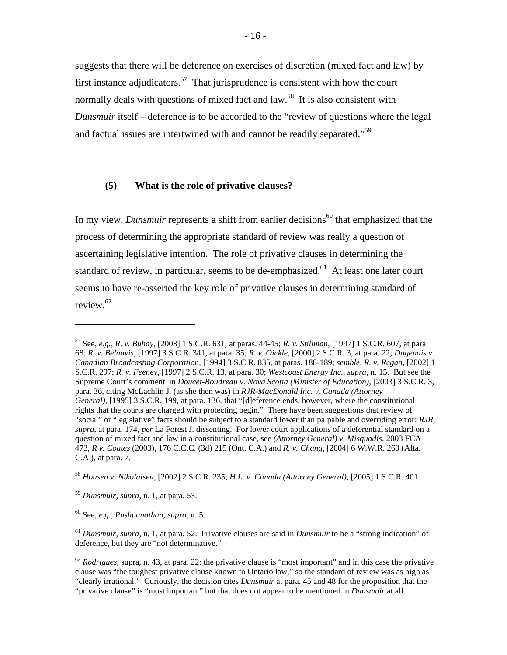suggests that there will be deference on exercises of discretion (mixed fact and law) by first instance adjudicators.<sup>57</sup> That jurisprudence is consistent with how the court normally deals with questions of mixed fact and law.<sup>58</sup> It is also consistent with *Dunsmuir* itself – deference is to be accorded to the "review of questions where the legal and factual issues are intertwined with and cannot be readily separated."59

### **(5) What is the role of privative clauses?**

In my view, *Dunsmuir* represents a shift from earlier decisions<sup>60</sup> that emphasized that the process of determining the appropriate standard of review was really a question of ascertaining legislative intention. The role of privative clauses in determining the standard of review, in particular, seems to be de-emphasized.<sup>61</sup> At least one later court seems to have re-asserted the key role of privative clauses in determining standard of review.62

<sup>57</sup> See, *e.g.*, *[R. v. Buhay](http://www.canlii.org/en/ca/scc/doc/2003/2003scc30/2003scc30.html)*, [2003] 1 S.C.R. 631, at paras. 44-45; *[R. v. Stillman](http://www.canlii.org/en/ca/scc/doc/1997/1997canlii384/1997canlii384.html)*, [1997] 1 S.C.R. 607, at para. 68; *[R. v. Belnavis](http://www.canlii.org/en/ca/scc/doc/1997/1997canlii320/1997canlii320.html)*, [1997] 3 S.C.R. 341, at para. 35; *[R. v. Oickle](http://www.canlii.org/en/ca/scc/doc/2000/2000scc38/2000scc38.html)*, [2000] 2 S.C.R. 3, at para. 22; *[Dagenais v.](http://www.canlii.org/en/ca/scc/doc/1994/1994canlii39/1994canlii39.html)  [Canadian Broadcasting Corporation](http://www.canlii.org/en/ca/scc/doc/1994/1994canlii39/1994canlii39.html)*, [1994] 3 S.C.R. 835, at paras. 188-189; *semble*, *[R. v. Regan](http://www.canlii.org/eliisa/highlight.do?language=en&searchTitle=Federal+-+Supreme+Court+of+Canada&path=/en/ca/scc/doc/2002/2002scc12/2002scc12.html)*, [2002] 1 S.C.R. 297; *[R. v. Feeney](http://www.canlii.org/en/ca/scc/doc/1997/1997canlii342/1997canlii342.html)*, [1997] 2 S.C.R. 13, at para. 30; *[Westcoast Energy Inc.](http://www.canlii.org/en/ca/scc/doc/1998/1998canlii813/1998canlii813.htmlhttp:/www.canlii.org/eliisa/highlight.do?language=en&searchTitle=Federal+-+Supreme+Court+of+Canada&path=/en/ca/scc/doc/1998/1998canlii813/1998canlii813.html)*, *supra*, n. 15. But see the Supreme Court's comment in *Doucet-Boudreau v. [Nova Scotia \(Minister of Education\)](http://www.canlii.org/en/ca/scc/doc/2003/2003scc62/2003scc62.html)*, [2003] 3 S.C.R. 3, para. 36, citing McLachlin J. (as she then was) in *[RJR-MacDonald Inc. v. Canada \(Attorney](http://www.canlii.org/en/ca/scc/doc/1995/1995canlii64/1995canlii64.html)  [General\)](http://www.canlii.org/en/ca/scc/doc/1995/1995canlii64/1995canlii64.html)*, [1995] 3 S.C.R. 199, at para. 136, that "[d]eference ends, however, where the constitutional rights that the courts are charged with protecting begin." There have been suggestions that review of "social" or "legislative" facts should be subject to a standard lower than palpable and overriding error: *[RJR](http://www.canlii.org/en/ca/scc/doc/1995/1995canlii64/1995canlii64.html)*, *supra*, at para. 174, *per* La Forest J. dissenting. For lower court applications of a deferential standard on a question of mixed fact and law in a constitutional case, see *[\(Attorney General\) v. Misquadis](http://reports.fja.gc.ca/eng/2003/2003fca473/2003fca473.html)*, 2003 FCA 473, *[R v. Coates](http://www.canlii.org/en/on/onca/doc/2003/2003canlii36956/2003canlii36956.html)* (2003), 176 C.C.C. (3d) 215 (Ont. C.A.) and *[R. v. Chang](http://www.canlii.org/en/ab/abca/doc/2003/2003abca293/2003abca293.html)*, [2004] 6 W.W.R. 260 (Alta. C.A.), at para. 7.

<sup>58</sup> *[Housen v. Nikolaisen](http://www.canlii.org/en/ca/scc/doc/2002/2002scc33/2002scc33.html)*, [2002] 2 S.C.R. 235; *H.L. v. [Canada \(Attorney General\)](http://www.canlii.org/en/ca/scc/doc/2005/2005scc25/2005scc25.html)*, [2005] 1 S.C.R. 401.

<sup>59</sup> *[Dunsmuir](http://scc.lexum.umontreal.ca/en/2008/2008scc9/2008scc9.html)*, *supra*, n. 1, at para. 53.

<sup>60</sup> See, *e.g.*, *[Pushpanathan](http://www.canlii.org/en/ca/scc/doc/1998/1998canlii778/1998canlii778.html)*, *supra*, n. 5.

<sup>61</sup> *[Dunsmuir](http://scc.lexum.umontreal.ca/en/2008/2008scc9/2008scc9.html)*, *supra*, n. 1, at para. 52. Privative clauses are said in *Dunsmuir* to be a "strong indication" of deference, but they are "not determinative."

<sup>62</sup> *[Rodrigues](http://www.ontariocourts.on.ca/decisions/2008/october/2008ONCA0719.htm)*, supra, n. 43, at para. 22: the privative clause is "most important" and in this case the privative clause was "the toughest privative clause known to Ontario law," so the standard of review was as high as "clearly irrational." Curiously, the decision cites *Dunsmuir* at para. 45 and 48 for the proposition that the "privative clause" is "most important" but that does not appear to be mentioned in *Dunsmuir* at all.